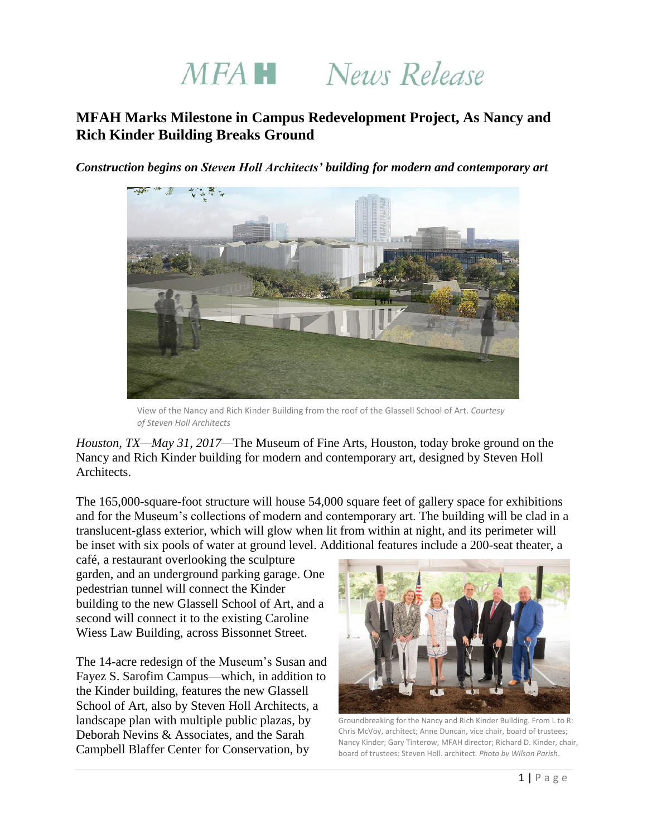# MFA<sup>N</sup> News Release

# **MFAH Marks Milestone in Campus Redevelopment Project, As Nancy and Rich Kinder Building Breaks Ground**

*Construction begins on Steven Holl Architects' building for modern and contemporary art*



View of the Nancy and Rich Kinder Building from the roof of the Glassell School of Art. *Courtesy of Steven Holl Architects*

*Houston, TX—May 31, 2017—*The Museum of Fine Arts, Houston, today broke ground on the Nancy and Rich Kinder building for modern and contemporary art, designed by Steven Holl Architects.

The 165,000-square-foot structure will house 54,000 square feet of gallery space for exhibitions and for the Museum's collections of modern and contemporary art. The building will be clad in a translucent-glass exterior, which will glow when lit from within at night, and its perimeter will be inset with six pools of water at ground level. Additional features include a 200-seat theater, a

café, a restaurant overlooking the sculpture garden, and an underground parking garage. One pedestrian tunnel will connect the Kinder building to the new Glassell School of Art, and a second will connect it to the existing Caroline Wiess Law Building, across Bissonnet Street.

The 14-acre redesign of the Museum's Susan and Fayez S. Sarofim Campus—which, in addition to the Kinder building, features the new Glassell School of Art, also by Steven Holl Architects, a landscape plan with multiple public plazas, by Deborah Nevins & Associates, and the Sarah Campbell Blaffer Center for Conservation, by



Groundbreaking for the Nancy and Rich Kinder Building. From L to R: Chris McVoy, architect; Anne Duncan, vice chair, board of trustees; Nancy Kinder; Gary Tinterow, MFAH director; Richard D. Kinder, chair, board of trustees; Steven Holl, architect. *Photo by Wilson Parish*.